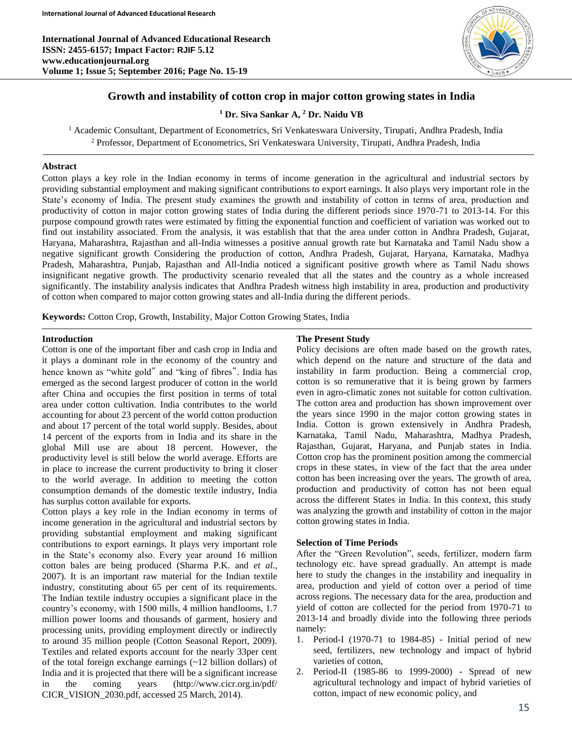**International Journal of Advanced Educational Research ISSN: 2455-6157; Impact Factor: RJIF 5.12 www.educationjournal.org Volume 1; Issue 5; September 2016; Page No. 15-19**



# **Growth and instability of cotton crop in major cotton growing states in India**

**<sup>1</sup> Dr. Siva Sankar A, <sup>2</sup> Dr. Naidu VB**

<sup>1</sup> Academic Consultant, Department of Econometrics, Sri Venkateswara University, Tirupati, Andhra Pradesh, India <sup>2</sup> Professor, Department of Econometrics, Sri Venkateswara University, Tirupati, Andhra Pradesh, India

### **Abstract**

Cotton plays a key role in the Indian economy in terms of income generation in the agricultural and industrial sectors by providing substantial employment and making significant contributions to export earnings. It also plays very important role in the State's economy of India. The present study examines the growth and instability of cotton in terms of area, production and productivity of cotton in major cotton growing states of India during the different periods since 1970-71 to 2013-14. For this purpose compound growth rates were estimated by fitting the exponential function and coefficient of variation was worked out to find out instability associated. From the analysis, it was establish that that the area under cotton in Andhra Pradesh, Gujarat, Haryana, Maharashtra, Rajasthan and all-India witnesses a positive annual growth rate but Karnataka and Tamil Nadu show a negative significant growth Considering the production of cotton, Andhra Pradesh, Gujarat, Haryana, Karnataka, Madhya Pradesh, Maharashtra, Punjab, Rajasthan and All-India noticed a significant positive growth where as Tamil Nadu shows insignificant negative growth. The productivity scenario revealed that all the states and the country as a whole increased significantly. The instability analysis indicates that Andhra Pradesh witness high instability in area, production and productivity of cotton when compared to major cotton growing states and all-India during the different periods.

**Keywords:** Cotton Crop, Growth, Instability, Major Cotton Growing States, India

### **Introduction**

Cotton is one of the important fiber and cash crop in India and it plays a dominant role in the economy of the country and hence known as "white gold" and "king of fibres". India has emerged as the second largest producer of cotton in the world after China and occupies the first position in terms of total area under cotton cultivation. India contributes to the world accounting for about 23 percent of the world cotton production and about 17 percent of the total world supply. Besides, about 14 percent of the exports from in India and its share in the global Mill use are about 18 percent. However, the productivity level is still below the world average. Efforts are in place to increase the current productivity to bring it closer to the world average. In addition to meeting the cotton consumption demands of the domestic textile industry, India has surplus cotton available for exports.

Cotton plays a key role in the Indian economy in terms of income generation in the agricultural and industrial sectors by providing substantial employment and making significant contributions to export earnings. It plays very important role in the State's economy also. Every year around 16 million cotton bales are being produced (Sharma P.K. and *et al*., 2007). It is an important raw material for the Indian textile industry, constituting about 65 per cent of its requirements. The Indian textile industry occupies a significant place in the country's economy, with 1500 mills, 4 million handlooms, 1.7 million power looms and thousands of garment, hosiery and processing units, providing employment directly or indirectly to around 35 million people (Cotton Seasonal Report, 2009). Textiles and related exports account for the nearly 33per cent of the total foreign exchange earnings (~12 billion dollars) of India and it is projected that there will be a significant increase in the coming years (http://www.cicr.org.in/pdf/ CICR\_VISION\_2030.pdf, accessed 25 March, 2014).

### **The Present Study**

Policy decisions are often made based on the growth rates, which depend on the nature and structure of the data and instability in farm production. Being a commercial crop, cotton is so remunerative that it is being grown by farmers even in agro-climatic zones not suitable for cotton cultivation. The cotton area and production has shown improvement over the years since 1990 in the major cotton growing states in India. Cotton is grown extensively in Andhra Pradesh, Karnataka, Tamil Nadu, Maharashtra, Madhya Pradesh, Rajasthan, Gujarat, Haryana, and Punjab states in India. Cotton crop has the prominent position among the commercial crops in these states, in view of the fact that the area under cotton has been increasing over the years. The growth of area, production and productivity of cotton has not been equal across the different States in India. In this context, this study was analyzing the growth and instability of cotton in the major cotton growing states in India.

### **Selection of Time Periods**

After the "Green Revolution", seeds, fertilizer, modern farm technology etc. have spread gradually. An attempt is made here to study the changes in the instability and inequality in area, production and yield of cotton over a period of time across regions. The necessary data for the area, production and yield of cotton are collected for the period from 1970-71 to 2013-14 and broadly divide into the following three periods namely:

- 1. Period-I (1970-71 to 1984-85) Initial period of new seed, fertilizers, new technology and impact of hybrid varieties of cotton,
- 2. Period-II (1985-86 to 1999-2000) Spread of new agricultural technology and impact of hybrid varieties of cotton, impact of new economic policy, and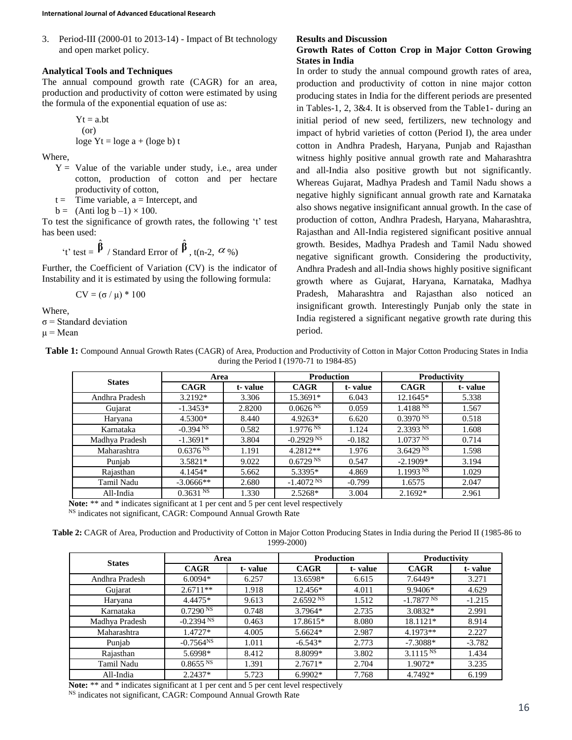3. Period-III (2000-01 to 2013-14) - Impact of Bt technology and open market policy.

### **Analytical Tools and Techniques**

The annual compound growth rate (CAGR) for an area, production and productivity of cotton were estimated by using the formula of the exponential equation of use as:

$$
Yt = a.bt
$$
  
(or)  
loge  $Yt = loge a + (loge b) t$ 

Where,

- $Y =$  Value of the variable under study, i.e., area under cotton, production of cotton and per hectare productivity of cotton,
- $t =$  Time variable,  $a =$  Intercept, and
- $b = (Anti \log b 1) \times 100$ .

To test the significance of growth rates, the following 't' test has been used:

't' test = 
$$
\hat{\beta}
$$
 / Standard Error of  $\hat{\beta}$ , t(n-2,  $\alpha$  %)

Further, the Coefficient of Variation (CV) is the indicator of Instability and it is estimated by using the following formula:

CV =  $(σ / μ) * 100$ 

Where,

 $\sigma$  = Standard deviation

 $\mu$  = Mean

### **Results and Discussion**

## **Growth Rates of Cotton Crop in Major Cotton Growing States in India**

In order to study the annual compound growth rates of area, production and productivity of cotton in nine major cotton producing states in India for the different periods are presented in Tables-1, 2, 3&4. It is observed from the Table1- during an initial period of new seed, fertilizers, new technology and impact of hybrid varieties of cotton (Period I), the area under cotton in Andhra Pradesh, Haryana, Punjab and Rajasthan witness highly positive annual growth rate and Maharashtra and all-India also positive growth but not significantly. Whereas Gujarat, Madhya Pradesh and Tamil Nadu shows a negative highly significant annual growth rate and Karnataka also shows negative insignificant annual growth. In the case of production of cotton, Andhra Pradesh, Haryana, Maharashtra, Rajasthan and All-India registered significant positive annual growth. Besides, Madhya Pradesh and Tamil Nadu showed negative significant growth. Considering the productivity, Andhra Pradesh and all-India shows highly positive significant growth where as Gujarat, Haryana, Karnataka, Madhya Pradesh, Maharashtra and Rajasthan also noticed an insignificant growth. Interestingly Punjab only the state in India registered a significant negative growth rate during this period.

Table 1: Compound Annual Growth Rates (CAGR) of Area, Production and Productivity of Cotton in Major Cotton Producing States in India during the Period I (1970-71 to 1984-85)

| <b>States</b>  | Area                 |         | <b>Production</b>       |          | <b>Productivity</b>    |         |
|----------------|----------------------|---------|-------------------------|----------|------------------------|---------|
|                | <b>CAGR</b>          | t-value | <b>CAGR</b>             | t-value  | <b>CAGR</b>            | t-value |
| Andhra Pradesh | $3.2192*$            | 3.306   | 15.3691*                | 6.043    | 12.1645*               | 5.338   |
| Gujarat        | $-1.3453*$           | 2.8200  | 0.0626 <sup>NS</sup>    | 0.059    | 1.4188 N               | 1.567   |
| Haryana        | 4.5300*              | 8.440   | $4.9263*$               | 6.620    | 0.3970 N               | 0.518   |
| Karnataka      | $-0.394$ NS          | 0.582   | 1.9776 <sup>NS</sup>    | 1.124    | 2.3393 NS              | 1.608   |
| Madhya Pradesh | $-1.3691*$           | 3.804   | $-0.2929$ <sup>NS</sup> | $-0.182$ | 1.0737 <sup>NS</sup>   | 0.714   |
| Maharashtra    | 0.6376 N             | 1.191   | 4.2812**                | 1.976    | 3.6429 <sup>NS</sup>   | 1.598   |
| Punjab         | $3.5821*$            | 9.022   | 0.6729 <sup>NS</sup>    | 0.547    | $-2.1909*$             | 3.194   |
| Rajasthan      | $4.1454*$            | 5.662   | 5.3395*                 | 4.869    | $1.1993$ <sup>NS</sup> | 1.029   |
| Tamil Nadu     | $-3.0666$ **         | 2.680   | $-1.4072$ NS            | $-0.799$ | 1.6575                 | 2.047   |
| All-India      | 0.3631 <sup>NS</sup> | 1.330   | $2.5268*$               | 3.004    | $2.1692*$              | 2.961   |

**Note:** \*\* and \* indicates significant at 1 per cent and 5 per cent level respectively

<sup>NS</sup> indicates not significant, CAGR: Compound Annual Growth Rate

**Table 2:** CAGR of Area, Production and Productivity of Cotton in Major Cotton Producing States in India during the Period II (1985-86 to 1999-2000)

| <b>States</b>  | Area                 |         | <b>Production</b>    |         | Productivity         |          |
|----------------|----------------------|---------|----------------------|---------|----------------------|----------|
|                | <b>CAGR</b>          | t-value | <b>CAGR</b>          | t-value | <b>CAGR</b>          | t-value  |
| Andhra Pradesh | $6.0094*$            | 6.257   | 13.6598*             | 6.615   | 7.6449*              | 3.271    |
| Gujarat        | $2.6711**$           | 1.918   | 12.456*              | 4.011   | 9.9406*              | 4.629    |
| Haryana        | 4.4475*              | 9.613   | 2.6592 <sup>NS</sup> | 1.512   | $-1.7877 N$          | $-1.215$ |
| Karnataka      | 0.7290 <sup>NS</sup> | 0.748   | $3.7964*$            | 2.735   | $3.0832*$            | 2.991    |
| Madhya Pradesh | $-0.2394$ NS         | 0.463   | 17.8615*             | 8.080   | 18.1121*             | 8.914    |
| Maharashtra    | 1.4727*              | 4.005   | $5.6624*$            | 2.987   | 4.1973**             | 2.227    |
| Punjab         | $-0.7564^{NS}$       | 1.011   | $-6.543*$            | 2.773   | $-7.3088*$           | $-3.782$ |
| Rajasthan      | 5.6998*              | 8.412   | 8.8099*              | 3.802   | 3.1115 <sup>NS</sup> | 1.434    |
| Tamil Nadu     | 0.8655 N             | 1.391   | $2.7671*$            | 2.704   | 1.9072*              | 3.235    |
| All-India      | $2.2437*$            | 5.723   | $6.9902*$            | 7.768   | 4.7492*              | 6.199    |

**Note:** \*\* and \* indicates significant at 1 per cent and 5 per cent level respectively <sup>NS</sup> indicates not significant, CAGR: Compound Annual Growth Rate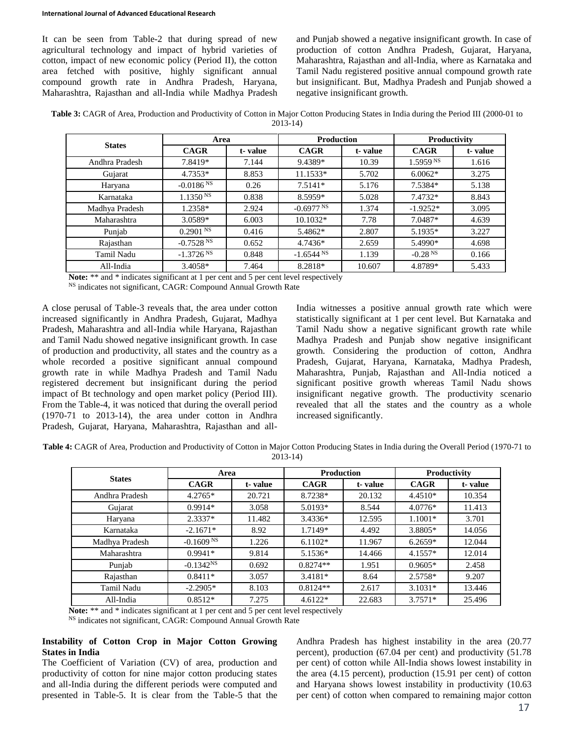It can be seen from Table-2 that during spread of new agricultural technology and impact of hybrid varieties of cotton, impact of new economic policy (Period II), the cotton area fetched with positive, highly significant annual compound growth rate in Andhra Pradesh, Haryana, Maharashtra, Rajasthan and all-India while Madhya Pradesh and Punjab showed a negative insignificant growth. In case of production of cotton Andhra Pradesh, Gujarat, Haryana, Maharashtra, Rajasthan and all-India, where as Karnataka and Tamil Nadu registered positive annual compound growth rate but insignificant. But, Madhya Pradesh and Punjab showed a negative insignificant growth.

Table 3: CAGR of Area, Production and Productivity of Cotton in Major Cotton Producing States in India during the Period III (2000-01 to 2013-14)

| <b>States</b>  | Area                    |         | <b>Production</b> |         | Productivity         |         |
|----------------|-------------------------|---------|-------------------|---------|----------------------|---------|
|                | <b>CAGR</b>             | t-value | <b>CAGR</b>       | t-value | <b>CAGR</b>          | t-value |
| Andhra Pradesh | 7.8419*                 | 7.144   | 9.4389*           | 10.39   | 1.5959 <sup>NS</sup> | 1.616   |
| Gujarat        | $4.7353*$               | 8.853   | $11.1533*$        | 5.702   | $6.0062*$            | 3.275   |
| Haryana        | $-0.0186$ <sup>NS</sup> | 0.26    | $7.5141*$         | 5.176   | 7.5384*              | 5.138   |
| Karnataka      | 1.1350 <sup>NS</sup>    | 0.838   | 8.5959*           | 5.028   | 7.4732*              | 8.843   |
| Madhya Pradesh | 1.2358*                 | 2.924   | $-0.6977 N$       | 1.374   | $-1.9252*$           | 3.095   |
| Maharashtra    | 3.0589*                 | 6.003   | 10.1032*          | 7.78    | 7.0487*              | 4.639   |
| Punjab         | 0.2901 <sup>NS</sup>    | 0.416   | 5.4862*           | 2.807   | 5.1935*              | 3.227   |
| Rajasthan      | $-0.7528$ <sup>NS</sup> | 0.652   | 4.7436*           | 2.659   | 5.4990*              | 4.698   |
| Tamil Nadu     | $-1.3726$ <sup>NS</sup> | 0.848   | $-1.6544$ NS      | 1.139   | $-0.28 N$            | 0.166   |
| All-India      | $3.4058*$               | 7.464   | 8.2818*           | 10.607  | 4.8789*              | 5.433   |

Note: \*\* and \* indicates significant at 1 per cent and 5 per cent level respectively

<sup>NS</sup> indicates not significant, CAGR: Compound Annual Growth Rate

A close perusal of Table-3 reveals that, the area under cotton increased significantly in Andhra Pradesh, Gujarat, Madhya Pradesh, Maharashtra and all-India while Haryana, Rajasthan and Tamil Nadu showed negative insignificant growth. In case of production and productivity, all states and the country as a whole recorded a positive significant annual compound growth rate in while Madhya Pradesh and Tamil Nadu registered decrement but insignificant during the period impact of Bt technology and open market policy (Period III). From the Table-4, it was noticed that during the overall period (1970-71 to 2013-14), the area under cotton in Andhra Pradesh, Gujarat, Haryana, Maharashtra, Rajasthan and allIndia witnesses a positive annual growth rate which were statistically significant at 1 per cent level. But Karnataka and Tamil Nadu show a negative significant growth rate while Madhya Pradesh and Punjab show negative insignificant growth. Considering the production of cotton, Andhra Pradesh, Gujarat, Haryana, Karnataka, Madhya Pradesh, Maharashtra, Punjab, Rajasthan and All-India noticed a significant positive growth whereas Tamil Nadu shows insignificant negative growth. The productivity scenario revealed that all the states and the country as a whole increased significantly.

**Table 4:** CAGR of Area, Production and Productivity of Cotton in Major Cotton Producing States in India during the Overall Period (1970-71 to 2013-14)

| <b>States</b>  | Area                    |         | <b>Production</b> |         | Productivity |         |
|----------------|-------------------------|---------|-------------------|---------|--------------|---------|
|                | <b>CAGR</b>             | t-value | <b>CAGR</b>       | t-value | <b>CAGR</b>  | t-value |
| Andhra Pradesh | $4.2765*$               | 20.721  | 8.7238*           | 20.132  | $4.4510*$    | 10.354  |
| Gujarat        | $0.9914*$               | 3.058   | 5.0193*           | 8.544   | $4.0776*$    | 11.413  |
| Haryana        | $2.3337*$               | 11.482  | 3.4336*           | 12.595  | $1.1001*$    | 3.701   |
| Karnataka      | $-2.1671*$              | 8.92    | 1.7149*           | 4.492   | 3.8805*      | 14.056  |
| Madhya Pradesh | $-0.1609$ <sup>NS</sup> | 1.226   | $6.1102*$         | 11.967  | $6.2659*$    | 12.044  |
| Maharashtra    | $0.9941*$               | 9.814   | 5.1536*           | 14.466  | $4.1557*$    | 12.014  |
| Punjab         | $-0.1342NS$             | 0.692   | $0.8274**$        | 1.951   | $0.9605*$    | 2.458   |
| Rajasthan      | $0.8411*$               | 3.057   | $3.4181*$         | 8.64    | 2.5758*      | 9.207   |
| Tamil Nadu     | $-2.2905*$              | 8.103   | $0.8124**$        | 2.617   | $3.1031*$    | 13.446  |
| All-India      | $0.8512*$               | 7.275   | $4.6122*$         | 22.683  | $3.7571*$    | 25.496  |

Note: \*\* and \* indicates significant at 1 per cent and 5 per cent level respectively

<sup>NS</sup> indicates not significant, CAGR: Compound Annual Growth Rate

### **Instability of Cotton Crop in Major Cotton Growing States in India**

The Coefficient of Variation (CV) of area, production and productivity of cotton for nine major cotton producing states and all-India during the different periods were computed and presented in Table-5. It is clear from the Table-5 that the Andhra Pradesh has highest instability in the area (20.77 percent), production (67.04 per cent) and productivity (51.78 per cent) of cotton while All-India shows lowest instability in the area (4.15 percent), production (15.91 per cent) of cotton and Haryana shows lowest instability in productivity (10.63 per cent) of cotton when compared to remaining major cotton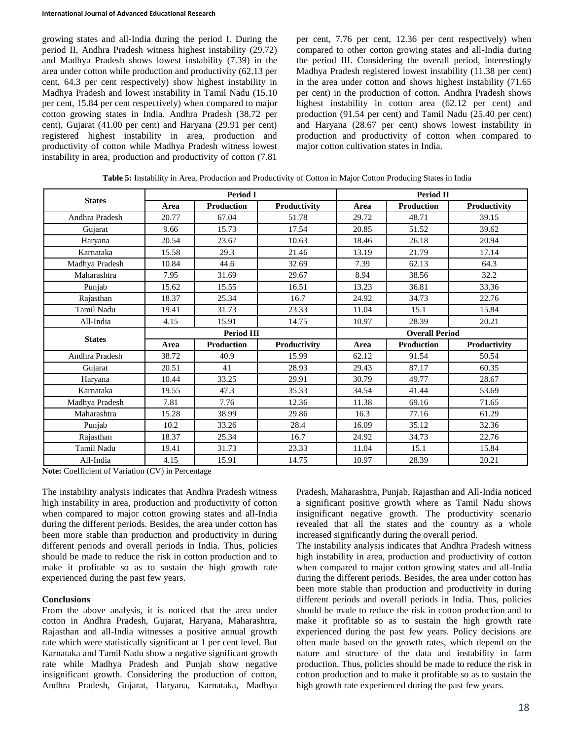#### **International Journal of Advanced Educational Research**

growing states and all-India during the period I. During the period II, Andhra Pradesh witness highest instability (29.72) and Madhya Pradesh shows lowest instability (7.39) in the area under cotton while production and productivity (62.13 per cent, 64.3 per cent respectively) show highest instability in Madhya Pradesh and lowest instability in Tamil Nadu (15.10 per cent, 15.84 per cent respectively) when compared to major cotton growing states in India. Andhra Pradesh (38.72 per cent), Gujarat (41.00 per cent) and Haryana (29.91 per cent) registered highest instability in area, production and productivity of cotton while Madhya Pradesh witness lowest instability in area, production and productivity of cotton (7.81

per cent, 7.76 per cent, 12.36 per cent respectively) when compared to other cotton growing states and all-India during the period III. Considering the overall period, interestingly Madhya Pradesh registered lowest instability (11.38 per cent) in the area under cotton and shows highest instability (71.65 per cent) in the production of cotton. Andhra Pradesh shows highest instability in cotton area (62.12 per cent) and production (91.54 per cent) and Tamil Nadu (25.40 per cent) and Haryana (28.67 per cent) shows lowest instability in production and productivity of cotton when compared to major cotton cultivation states in India.

|                |       | <b>Period I</b>   |              | <b>Period II</b> |                       |              |  |  |
|----------------|-------|-------------------|--------------|------------------|-----------------------|--------------|--|--|
| <b>States</b>  | Area  | <b>Production</b> | Productivity | Area             | <b>Production</b>     | Productivity |  |  |
| Andhra Pradesh | 20.77 | 67.04             | 51.78        | 29.72            | 48.71                 | 39.15        |  |  |
| Gujarat        | 9.66  | 15.73             | 17.54        | 20.85            | 51.52                 | 39.62        |  |  |
| Haryana        | 20.54 | 23.67             | 10.63        | 18.46            | 26.18                 | 20.94        |  |  |
| Karnataka      | 15.58 | 29.3              | 21.46        | 13.19            | 21.79                 | 17.14        |  |  |
| Madhya Pradesh | 10.84 | 44.6              | 32.69        | 7.39             | 62.13                 | 64.3         |  |  |
| Maharashtra    | 7.95  | 31.69             | 29.67        | 8.94             | 38.56                 | 32.2         |  |  |
| Punjab         | 15.62 | 15.55             | 16.51        | 13.23            | 36.81                 | 33.36        |  |  |
| Rajasthan      | 18.37 | 25.34             | 16.7         | 24.92            | 34.73                 | 22.76        |  |  |
| Tamil Nadu     | 19.41 | 31.73             | 23.33        | 11.04            | 15.1                  | 15.84        |  |  |
| All-India      | 4.15  | 15.91             | 14.75        | 10.97            | 28.39                 | 20.21        |  |  |
| <b>States</b>  |       | <b>Period III</b> |              |                  | <b>Overall Period</b> |              |  |  |
|                | Area  | <b>Production</b> | Productivity | Area             | <b>Production</b>     | Productivity |  |  |
| Andhra Pradesh | 38.72 | 40.9              | 15.99        | 62.12            | 91.54                 | 50.54        |  |  |
| Gujarat        | 20.51 | 41                | 28.93        | 29.43            | 87.17                 | 60.35        |  |  |
| Haryana        | 10.44 | 33.25             | 29.91        | 30.79            | 49.77                 | 28.67        |  |  |
| Karnataka      | 19.55 | 47.3              | 35.33        | 34.54            | 41.44                 | 53.69        |  |  |
| Madhya Pradesh | 7.81  | 7.76              | 12.36        | 11.38            | 69.16                 | 71.65        |  |  |
| Maharashtra    | 15.28 | 38.99             | 29.86        | 16.3             | 77.16                 | 61.29        |  |  |
|                |       |                   |              |                  |                       |              |  |  |
| Punjab         | 10.2  | 33.26             | 28.4         | 16.09            | 35.12                 | 32.36        |  |  |
| Rajasthan      | 18.37 | 25.34             | 16.7         | 24.92            | 34.73                 | 22.76        |  |  |
| Tamil Nadu     | 19.41 | 31.73             | 23.33        | 11.04            | 15.1                  | 15.84        |  |  |

**Table 5:** Instability in Area, Production and Productivity of Cotton in Major Cotton Producing States in India

**Note:** Coefficient of Variation (CV) in Percentage

The instability analysis indicates that Andhra Pradesh witness high instability in area, production and productivity of cotton when compared to major cotton growing states and all-India during the different periods. Besides, the area under cotton has been more stable than production and productivity in during different periods and overall periods in India. Thus, policies should be made to reduce the risk in cotton production and to make it profitable so as to sustain the high growth rate experienced during the past few years.

### **Conclusions**

From the above analysis, it is noticed that the area under cotton in Andhra Pradesh, Gujarat, Haryana, Maharashtra, Rajasthan and all-India witnesses a positive annual growth rate which were statistically significant at 1 per cent level. But Karnataka and Tamil Nadu show a negative significant growth rate while Madhya Pradesh and Punjab show negative insignificant growth. Considering the production of cotton, Andhra Pradesh, Gujarat, Haryana, Karnataka, Madhya

Pradesh, Maharashtra, Punjab, Rajasthan and All-India noticed a significant positive growth where as Tamil Nadu shows insignificant negative growth. The productivity scenario revealed that all the states and the country as a whole increased significantly during the overall period.

The instability analysis indicates that Andhra Pradesh witness high instability in area, production and productivity of cotton when compared to major cotton growing states and all-India during the different periods. Besides, the area under cotton has been more stable than production and productivity in during different periods and overall periods in India. Thus, policies should be made to reduce the risk in cotton production and to make it profitable so as to sustain the high growth rate experienced during the past few years. Policy decisions are often made based on the growth rates, which depend on the nature and structure of the data and instability in farm production. Thus, policies should be made to reduce the risk in cotton production and to make it profitable so as to sustain the high growth rate experienced during the past few years.